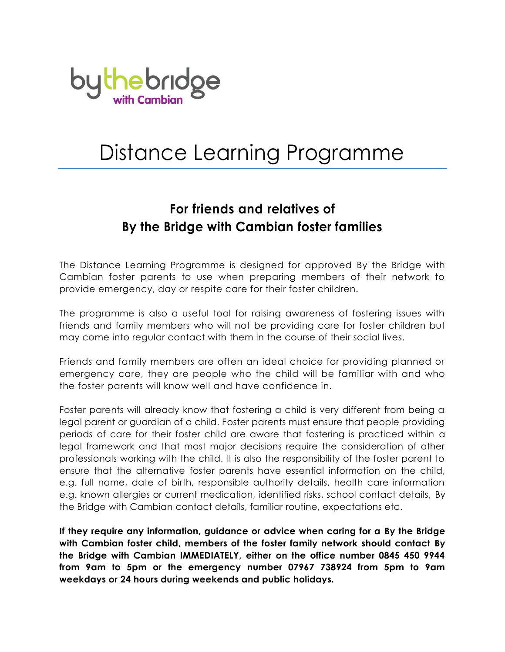

## Distance Learning Programme

### **For friends and relatives of By the Bridge with Cambian foster families**

The Distance Learning Programme is designed for approved By the Bridge with Cambian foster parents to use when preparing members of their network to provide emergency, day or respite care for their foster children.

The programme is also a useful tool for raising awareness of fostering issues with friends and family members who will not be providing care for foster children but may come into regular contact with them in the course of their social lives.

Friends and family members are often an ideal choice for providing planned or emergency care, they are people who the child will be familiar with and who the foster parents will know well and have confidence in.

Foster parents will already know that fostering a child is very different from being a legal parent or guardian of a child. Foster parents must ensure that people providing periods of care for their foster child are aware that fostering is practiced within a legal framework and that most major decisions require the consideration of other professionals working with the child. It is also the responsibility of the foster parent to ensure that the alternative foster parents have essential information on the child, e.g. full name, date of birth, responsible authority details, health care information e.g. known allergies or current medication, identified risks, school contact details, By the Bridge with Cambian contact details, familiar routine, expectations etc.

**If they require any information, guidance or advice when caring for a By the Bridge with Cambian foster child, members of the foster family network should contact By the Bridge with Cambian IMMEDIATELY, either on the office number 0845 450 9944 from 9am to 5pm or the emergency number 07967 738924 from 5pm to 9am weekdays or 24 hours during weekends and public holidays.**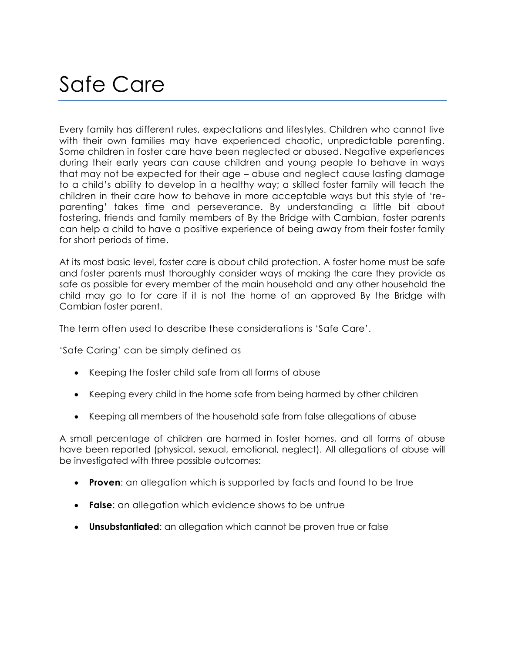# Safe Care

Every family has different rules, expectations and lifestyles. Children who cannot live with their own families may have experienced chaotic, unpredictable parenting. Some children in foster care have been neglected or abused. Negative experiences during their early years can cause children and young people to behave in ways that may not be expected for their age – abuse and neglect cause lasting damage to a child's ability to develop in a healthy way; a skilled foster family will teach the children in their care how to behave in more acceptable ways but this style of 'reparenting' takes time and perseverance. By understanding a little bit about fostering, friends and family members of By the Bridge with Cambian, foster parents can help a child to have a positive experience of being away from their foster family for short periods of time.

At its most basic level, foster care is about child protection. A foster home must be safe and foster parents must thoroughly consider ways of making the care they provide as safe as possible for every member of the main household and any other household the child may go to for care if it is not the home of an approved By the Bridge with Cambian foster parent.

The term often used to describe these considerations is 'Safe Care'.

'Safe Caring' can be simply defined as

- Keeping the foster child safe from all forms of abuse
- Keeping every child in the home safe from being harmed by other children
- Keeping all members of the household safe from false allegations of abuse

A small percentage of children are harmed in foster homes, and all forms of abuse have been reported (physical, sexual, emotional, neglect). All allegations of abuse will be investigated with three possible outcomes:

- **Proven**: an allegation which is supported by facts and found to be true
- **False**: an allegation which evidence shows to be untrue
- **Unsubstantiated**: an allegation which cannot be proven true or false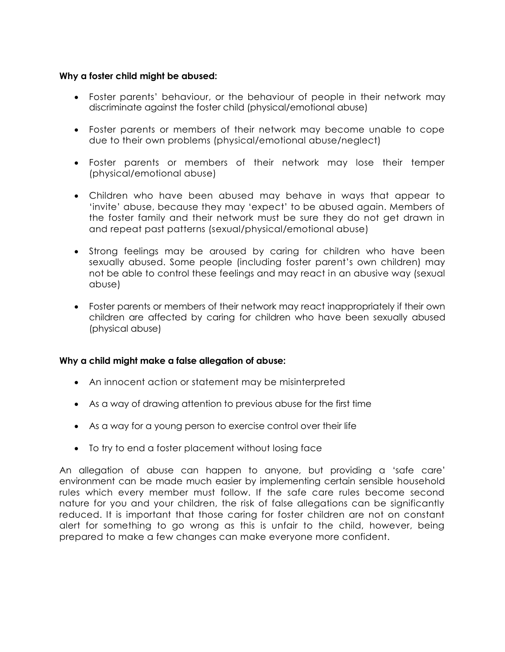#### **Why a foster child might be abused:**

- Foster parents' behaviour, or the behaviour of people in their network may discriminate against the foster child (physical/emotional abuse)
- Foster parents or members of their network may become unable to cope due to their own problems (physical/emotional abuse/neglect)
- Foster parents or members of their network may lose their temper (physical/emotional abuse)
- Children who have been abused may behave in ways that appear to 'invite' abuse, because they may 'expect' to be abused again. Members of the foster family and their network must be sure they do not get drawn in and repeat past patterns (sexual/physical/emotional abuse)
- Strong feelings may be aroused by caring for children who have been sexually abused. Some people (including foster parent's own children) may not be able to control these feelings and may react in an abusive way (sexual abuse)
- Foster parents or members of their network may react inappropriately if their own children are affected by caring for children who have been sexually abused (physical abuse)

#### **Why a child might make a false allegation of abuse:**

- An innocent action or statement may be misinterpreted
- As a way of drawing attention to previous abuse for the first time
- As a way for a young person to exercise control over their life
- To try to end a foster placement without losing face

An allegation of abuse can happen to anyone, but providing a 'safe care' environment can be made much easier by implementing certain sensible household rules which every member must follow. If the safe care rules become second nature for you and your children, the risk of false allegations can be significantly reduced. It is important that those caring for foster children are not on constant alert for something to go wrong as this is unfair to the child, however, being prepared to make a few changes can make everyone more confident.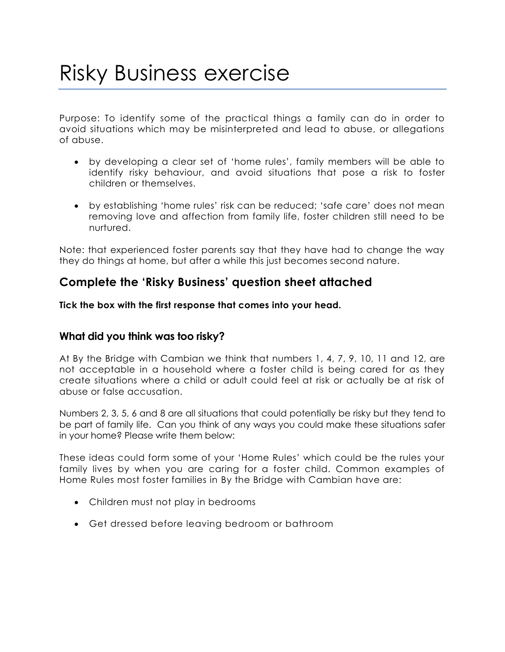# Risky Business exercise

Purpose: To identify some of the practical things a family can do in order to avoid situations which may be misinterpreted and lead to abuse, or allegations of abuse.

- by developing a clear set of 'home rules', family members will be able to identify risky behaviour, and avoid situations that pose a risk to foster children or themselves.
- by establishing 'home rules' risk can be reduced; 'safe care' does not mean removing love and affection from family life, foster children still need to be nurtured.

Note: that experienced foster parents say that they have had to change the way they do things at home, but after a while this just becomes second nature.

#### **Complete the 'Risky Business' question sheet attached**

**Tick the box with the first response that comes into your head.**

#### **What did you think was too risky?**

At By the Bridge with Cambian we think that numbers 1, 4, 7, 9, 10, 11 and 12, are not acceptable in a household where a foster child is being cared for as they create situations where a child or adult could feel at risk or actually be at risk of abuse or false accusation.

Numbers 2, 3, 5, 6 and 8 are all situations that could potentially be risky but they tend to be part of family life. Can you think of any ways you could make these situations safer in your home? Please write them below:

These ideas could form some of your 'Home Rules' which could be the rules your family lives by when you are caring for a foster child. Common examples of Home Rules most foster families in By the Bridge with Cambian have are:

- Children must not play in bedrooms
- Get dressed before leaving bedroom or bathroom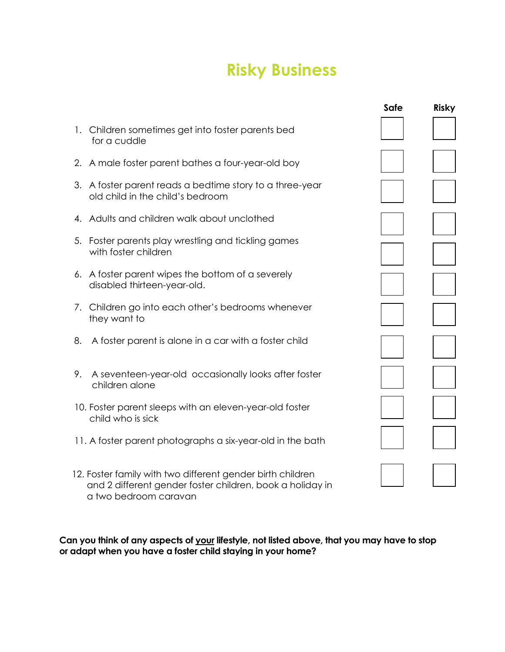### **Risky Business**

|    |                                                                                                                         | Safe | <b>Risky</b> |
|----|-------------------------------------------------------------------------------------------------------------------------|------|--------------|
|    | 1. Children sometimes get into foster parents bed<br>for a cuddle                                                       |      |              |
|    | 2. A male foster parent bathes a four-year-old boy                                                                      |      |              |
|    | 3. A foster parent reads a bedtime story to a three-year<br>old child in the child's bedroom                            |      |              |
|    | 4. Adults and children walk about unclothed                                                                             |      |              |
|    | 5. Foster parents play wrestling and tickling games<br>with foster children                                             |      |              |
|    | 6. A foster parent wipes the bottom of a severely<br>disabled thirteen-year-old.                                        |      |              |
|    | 7. Children go into each other's bedrooms whenever<br>they want to                                                      |      |              |
| 8. | A foster parent is alone in a car with a foster child                                                                   |      |              |
| 9. | A seventeen-year-old occasionally looks after foster<br>children alone                                                  |      |              |
|    | 10. Foster parent sleeps with an eleven-year-old foster<br>child who is sick                                            |      |              |
|    | 11. A foster parent photographs a six-year-old in the bath                                                              |      |              |
|    | 12. Foster family with two different gender birth children<br>and 2 different gender foster children, book a holiday in |      |              |

**Can you think of any aspects of your lifestyle, not listed above, that you may have to stop or adapt when you have a foster child staying in your home?**

a two bedroom caravan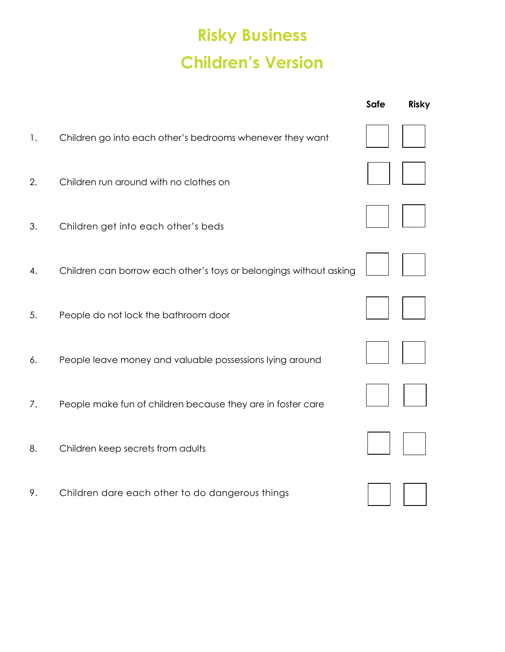## **Risky Business Children's Version**

|                |                                                                    | Safe | <b>Risky</b> |
|----------------|--------------------------------------------------------------------|------|--------------|
| $\mathbf{1}$ . | Children go into each other's bedrooms whenever they want          |      |              |
| 2.             | Children run around with no clothes on                             |      |              |
| 3.             | Children get into each other's beds                                |      |              |
| 4.             | Children can borrow each other's toys or belongings without asking |      |              |
| 5.             | People do not lock the bathroom door                               |      |              |
| 6.             | People leave money and valuable possessions lying around           |      |              |
| 7.             | People make fun of children because they are in foster care        |      |              |
| 8.             | Children keep secrets from adults                                  |      |              |
| 9.             | Children dare each other to do dangerous things                    |      |              |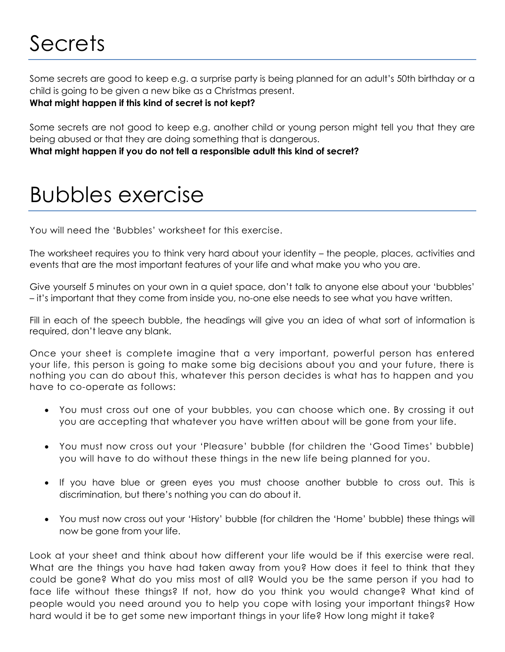# **Secrets**

Some secrets are good to keep e.g. a surprise party is being planned for an adult's 50th birthday or a child is going to be given a new bike as a Christmas present.

#### **What might happen if this kind of secret is not kept?**

Some secrets are not good to keep e.g. another child or young person might tell you that they are being abused or that they are doing something that is dangerous.

**What might happen if you do not tell a responsible adult this kind of secret?**

# Bubbles exercise

You will need the 'Bubbles' worksheet for this exercise.

The worksheet requires you to think very hard about your identity – the people, places, activities and events that are the most important features of your life and what make you who you are.

Give yourself 5 minutes on your own in a quiet space, don't talk to anyone else about your 'bubbles' – it's important that they come from inside you, no-one else needs to see what you have written.

Fill in each of the speech bubble, the headings will give you an idea of what sort of information is required, don't leave any blank.

Once your sheet is complete imagine that a very important, powerful person has entered your life, this person is going to make some big decisions about you and your future, there is nothing you can do about this, whatever this person decides is what has to happen and you have to co-operate as follows:

- You must cross out one of your bubbles, you can choose which one. By crossing it out you are accepting that whatever you have written about will be gone from your life.
- You must now cross out your 'Pleasure' bubble (for children the 'Good Times' bubble) you will have to do without these things in the new life being planned for you.
- If you have blue or green eyes you must choose another bubble to cross out. This is discrimination, but there's nothing you can do about it.
- You must now cross out your 'History' bubble (for children the 'Home' bubble) these things will now be gone from your life.

Look at your sheet and think about how different your life would be if this exercise were real. What are the things you have had taken away from you? How does it feel to think that they could be gone? What do you miss most of all? Would you be the same person if you had to face life without these things? If not, how do you think you would change? What kind of people would you need around you to help you cope with losing your important things? How hard would it be to get some new important things in your life? How long might it take?